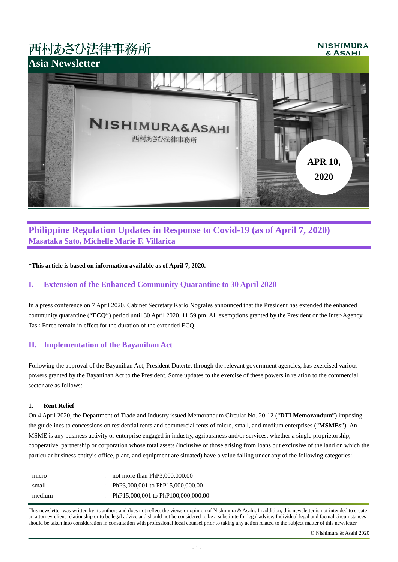# 西村あさひ法律事務所

#### **NISHIMURA** & ASAHI



## **Philippine Regulation Updates in Response to Covid-19 (as of April 7, 2020) Masataka Sato, Michelle Marie F. Villarica**

**\*This article is based on information available as of April 7, 2020.**

## **I. Extension of the Enhanced Community Quarantine to 30 April 2020**

In a press conference on 7 April 2020, Cabinet Secretary Karlo Nograles announced that the President has extended the enhanced community quarantine ("**ECQ**") period until 30 April 2020, 11:59 pm. All exemptions granted by the President or the Inter-Agency Task Force remain in effect for the duration of the extended ECQ.

## **II. Implementation of the Bayanihan Act**

Following the approval of the Bayanihan Act, President Duterte, through the relevant government agencies, has exercised various powers granted by the Bayanihan Act to the President. Some updates to the exercise of these powers in relation to the commercial sector are as follows:

## **1. Rent Relief**

On 4 April 2020, the Department of Trade and Industry issued Memorandum Circular No. 20-12 ("**DTI Memorandum**") imposing the guidelines to concessions on residential rents and commercial rents of micro, small, and medium enterprises ("**MSMEs**"). An MSME is any business activity or enterprise engaged in industry, agribusiness and/or services, whether a single proprietorship, cooperative, partnership or corporation whose total assets (inclusive of those arising from loans but exclusive of the land on which the particular business entity's office, plant, and equipment are situated) have a value falling under any of the following categories:

| micro  | not more than $PhP3,000,000.00$      |
|--------|--------------------------------------|
| small  | : PhP3,000,001 to PhP15,000,000.00   |
| medium | : PhP15,000,001 to PhP100,000,000.00 |

This newsletter was written by its authors and does not reflect the views or opinion of Nishimura & Asahi. In addition, this newsletter is not intended to create an attorney-client relationship or to be legal advice and should not be considered to be a substitute for legal advice. Individual legal and factual circumstances should be taken into consideration in consultation with professional local counsel prior to taking any action related to the subject matter of this newsletter.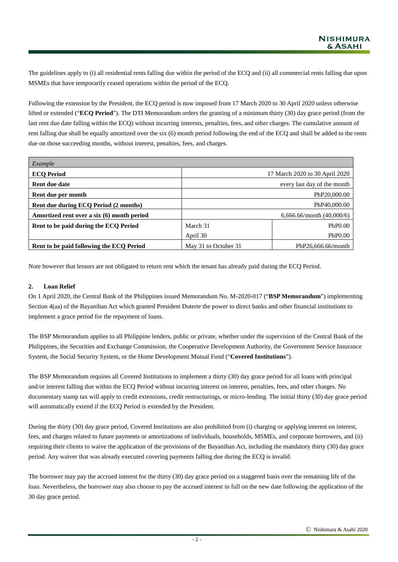The guidelines apply to (i) all residential rents falling due within the period of the ECQ and (ii) all commercial rents falling due upon MSMEs that have temporarily ceased operations within the period of the ECQ.

Following the extension by the President, the ECQ period is now imposed from 17 March 2020 to 30 April 2020 unless otherwise lifted or extended ("**ECQ Period**"). The DTI Memorandum orders the granting of a minimum thirty (30) day grace period (from the last rent due date falling within the ECQ) without incurring interests, penalties, fees, and other charges. The cumulative amount of rent falling due shall be equally amortized over the six (6) month period following the end of the ECQ and shall be added to the rents due on those succeeding months, without interest, penalties, fees, and charges.

| Example                                    |                             |                                |  |
|--------------------------------------------|-----------------------------|--------------------------------|--|
| <b>ECQ Period</b>                          |                             | 17 March 2020 to 30 April 2020 |  |
| Rent due date                              |                             | every last day of the month    |  |
| Rent due per month                         |                             | PhP20,000.00                   |  |
| Rent due during ECQ Period (2 months)      | PhP40,000.00                |                                |  |
| Amortized rent over a six (6) month period | 6,666.66/month $(40,000/6)$ |                                |  |
| Rent to be paid during the ECQ Period      | March 31                    | PhP <sub>0.00</sub>            |  |
|                                            | April 30                    | PhP <sub>0.00</sub>            |  |
| Rent to be paid following the ECQ Period   | May 31 to October 31        | PhP26,666.66/month             |  |

Note however that lessors are not obligated to return rent which the tenant has already paid during the ECQ Period.

#### **2. Loan Relief**

On 1 April 2020, the Central Bank of the Philippines issued Memorandum No. M-2020-017 ("**BSP Memorandum**") implementing Section 4(aa) of the Bayanihan Act which granted President Duterte the power to direct banks and other financial institutions to implement a grace period for the repayment of loans.

The BSP Memorandum applies to all Philippine lenders, public or private, whether under the supervision of the Central Bank of the Philippines, the Securities and Exchange Commission, the Cooperative Development Authority, the Government Service Insurance System, the Social Security System, or the Home Development Mutual Fund ("**Covered Institutions**").

The BSP Memorandum requires all Covered Institutions to implement a thirty (30) day grace period for all loans with principal and/or interest falling due within the ECQ Period without incurring interest on interest, penalties, fees, and other charges. No documentary stamp tax will apply to credit extensions, credit restructurings, or micro-lending. The initial thirty (30) day grace period will automatically extend if the ECQ Period is extended by the President.

During the thirty (30) day grace period, Covered Institutions are also prohibited from (i) charging or applying interest on interest, fees, and charges related to future payments or amortizations of individuals, households, MSMEs, and corporate borrowers, and (ii) requiring their clients to waive the application of the provisions of the Bayanihan Act, including the mandatory thirty (30) day grace period. Any waiver that was already executed covering payments falling due during the ECQ is invalid.

The borrower may pay the accrued interest for the thirty (30) day grace period on a staggered basis over the remaining life of the loan. Nevertheless, the borrower may also choose to pay the accrued interest in full on the new date following the application of the 30 day grace period.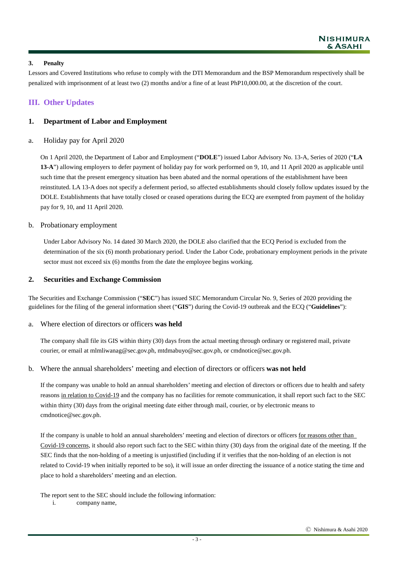## **3. Penalty**

Lessors and Covered Institutions who refuse to comply with the DTI Memorandum and the BSP Memorandum respectively shall be penalized with imprisonment of at least two (2) months and/or a fine of at least PhP10,000.00, at the discretion of the court.

## **III. Other Updates**

## **1. Department of Labor and Employment**

## a. Holiday pay for April 2020

On 1 April 2020, the Department of Labor and Employment ("**DOLE**") issued Labor Advisory No. 13-A, Series of 2020 ("**LA 13-A**") allowing employers to defer payment of holiday pay for work performed on 9, 10, and 11 April 2020 as applicable until such time that the present emergency situation has been abated and the normal operations of the establishment have been reinstituted. LA 13-A does not specify a deferment period, so affected establishments should closely follow updates issued by the DOLE. Establishments that have totally closed or ceased operations during the ECQ are exempted from payment of the holiday pay for 9, 10, and 11 April 2020.

## b. Probationary employment

Under Labor Advisory No. 14 dated 30 March 2020, the DOLE also clarified that the ECQ Period is excluded from the determination of the six (6) month probationary period. Under the Labor Code, probationary employment periods in the private sector must not exceed six (6) months from the date the employee begins working.

## **2. Securities and Exchange Commission**

The Securities and Exchange Commission ("**SEC**") has issued SEC Memorandum Circular No. 9, Series of 2020 providing the guidelines for the filing of the general information sheet ("**GIS**") during the Covid-19 outbreak and the ECQ ("**Guidelines**"):

#### a. Where election of directors or officers **was held**

The company shall file its GIS within thirty (30) days from the actual meeting through ordinary or registered mail, private courier, or email at mlmliwanag@sec.gov.ph, mtdmabuyo@sec.gov.ph, or cmdnotice@sec.gov.ph.

## b. Where the annual shareholders' meeting and election of directors or officers **was not held**

If the company was unable to hold an annual shareholders' meeting and election of directors or officers due to health and safety reasons in relation to Covid-19 and the company has no facilities for remote communication, it shall report such fact to the SEC within thirty (30) days from the original meeting date either through mail, courier, or by electronic means to cmdnotice@sec.gov.ph.

If the company is unable to hold an annual shareholders' meeting and election of directors or officers for reasons other than Covid-19 concerns, it should also report such fact to the SEC within thirty (30) days from the original date of the meeting. If the SEC finds that the non-holding of a meeting is unjustified (including if it verifies that the non-holding of an election is not related to Covid-19 when initially reported to be so), it will issue an order directing the issuance of a notice stating the time and place to hold a shareholders' meeting and an election.

The report sent to the SEC should include the following information:

i. company name,